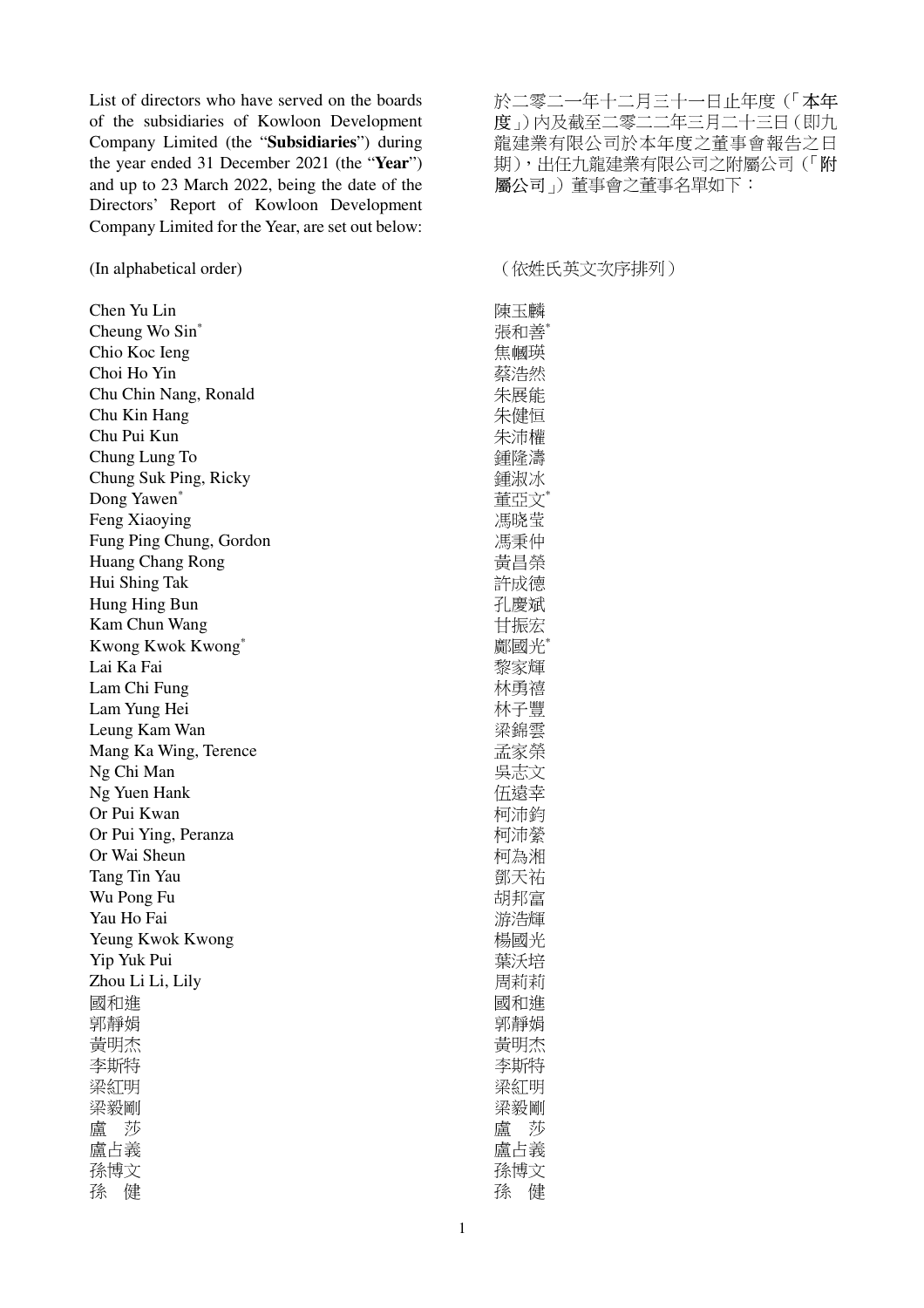List of directors who have served on the boards of the subsidiaries of Kowloon Development Company Limited (the "**Subsidiaries**") during the year ended 31 December 2021 (the "**Year**") and up to 23 March 2022, being the date of the Directors' Report of Kowloon Development Company Limited for the Year, are set out below:

Chen Yu Lin Cheung Wo Sin\* Chio Koc Ieng Choi Ho Yin Chu Chin Nang, Ronald Chu Kin Hang Chu Pui Kun Chung Lung To Chung Suk Ping, Ricky Dong Yawen\* Feng Xiaoying Fung Ping Chung, Gordon Huang Chang Rong Hui Shing Tak Hung Hing Bun Kam Chun Wang Kwong Kwok Kwong\* Lai Ka Fai Lam Chi Fung Lam Yung Hei Leung Kam Wan Mang Ka Wing, Terence Ng Chi Man Ng Yuen Hank Or Pui Kwan Or Pui Ying, Peranza Or Wai Sheun Tang Tin Yau Wu Pong Fu Yau Ho Fai Yeung Kwok Kwong Yip Yuk Pui Zhou Li Li, Lily 國和進 郭靜娟 黃明杰 李斯特 梁紅明 梁毅剛 盧 莎 盧占義 孫博文 孫 健

於二零二一年十二月三十一日止年度(「本年 度」)內及截至二零二二年三月二十三日(即九 龍建業有限公司於本年度之董事會報告之日 期),出任九龍建業有限公司之附屬公司(「附 屬公司」)董事會之董事名單如下:

## (In alphabetical order) (依姓氏英文次序排列)

陳玉麟 張和善\* 焦幗瑛 蔡浩然 朱展能 朱健恒 朱沛權 鍾隆濤 鍾淑冰 董亞文\* 馮晓莹 馮秉仲 黃昌榮 許成德 孔慶斌 甘振宏 鄺國光\* 黎家輝 林勇禧 林子豐 梁錦雲 孟家榮 吳志文 伍遠幸 柯沛鈞 柯沛縈 柯為湘 鄧天祐 胡邦富 游浩輝 楊國光 葉沃培 周莉莉 國和進 郭靜娟 黃明杰 李斯特 梁紅明 梁毅剛 盧 莎 盧占義 孫博文 孫 健